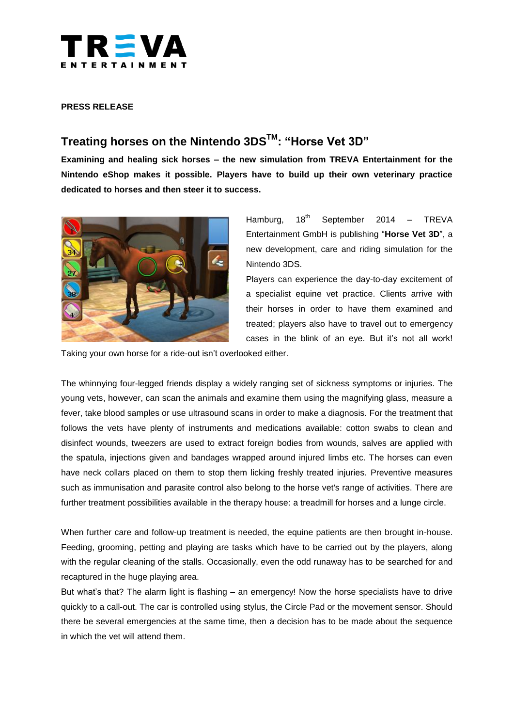

#### **PRESS RELEASE**

# **Treating horses on the Nintendo 3DSTM: "Horse Vet 3D"**

**Examining and healing sick horses – the new simulation from TREVA Entertainment for the Nintendo eShop makes it possible. Players have to build up their own veterinary practice dedicated to horses and then steer it to success.**



Hamburg,  $18<sup>th</sup>$  September 2014 – TREVA Entertainment GmbH is publishing "**Horse Vet 3D**", a new development, care and riding simulation for the Nintendo 3DS.

Players can experience the day-to-day excitement of a specialist equine vet practice. Clients arrive with their horses in order to have them examined and treated; players also have to travel out to emergency cases in the blink of an eye. But it's not all work!

Taking your own horse for a ride-out isn't overlooked either.

The whinnying four-legged friends display a widely ranging set of sickness symptoms or injuries. The young vets, however, can scan the animals and examine them using the magnifying glass, measure a fever, take blood samples or use ultrasound scans in order to make a diagnosis. For the treatment that follows the vets have plenty of instruments and medications available: cotton swabs to clean and disinfect wounds, tweezers are used to extract foreign bodies from wounds, salves are applied with the spatula, injections given and bandages wrapped around injured limbs etc. The horses can even have neck collars placed on them to stop them licking freshly treated injuries. Preventive measures such as immunisation and parasite control also belong to the horse vet's range of activities. There are further treatment possibilities available in the therapy house: a treadmill for horses and a lunge circle.

When further care and follow-up treatment is needed, the equine patients are then brought in-house. Feeding, grooming, petting and playing are tasks which have to be carried out by the players, along with the regular cleaning of the stalls. Occasionally, even the odd runaway has to be searched for and recaptured in the huge playing area.

But what's that? The alarm light is flashing – an emergency! Now the horse specialists have to drive quickly to a call-out. The car is controlled using stylus, the Circle Pad or the movement sensor. Should there be several emergencies at the same time, then a decision has to be made about the sequence in which the vet will attend them.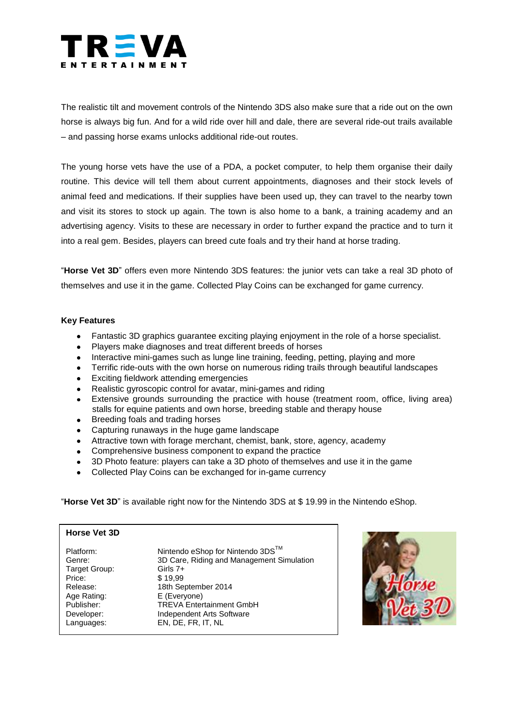

The realistic tilt and movement controls of the Nintendo 3DS also make sure that a ride out on the own horse is always big fun. And for a wild ride over hill and dale, there are several ride-out trails available – and passing horse exams unlocks additional ride-out routes.

The young horse vets have the use of a PDA, a pocket computer, to help them organise their daily routine. This device will tell them about current appointments, diagnoses and their stock levels of animal feed and medications. If their supplies have been used up, they can travel to the nearby town and visit its stores to stock up again. The town is also home to a bank, a training academy and an advertising agency. Visits to these are necessary in order to further expand the practice and to turn it into a real gem. Besides, players can breed cute foals and try their hand at horse trading.

"**Horse Vet 3D**" offers even more Nintendo 3DS features: the junior vets can take a real 3D photo of themselves and use it in the game. Collected Play Coins can be exchanged for game currency.

#### **Key Features**

- Fantastic 3D graphics guarantee exciting playing enjoyment in the role of a horse specialist.
- Players make diagnoses and treat different breeds of horses
- Interactive mini-games such as lunge line training, feeding, petting, playing and more
- Terrific ride-outs with the own horse on numerous riding trails through beautiful landscapes
- Exciting fieldwork attending emergencies
- Realistic gyroscopic control for avatar, mini-games and riding
- Extensive grounds surrounding the practice with house (treatment room, office, living area) stalls for equine patients and own horse, breeding stable and therapy house
- Breeding foals and trading horses
- Capturing runaways in the huge game landscape
- Attractive town with forage merchant, chemist, bank, store, agency, academy
- Comprehensive business component to expand the practice
- 3D Photo feature: players can take a 3D photo of themselves and use it in the game  $\bullet$
- Collected Play Coins can be exchanged for in-game currency

"**Horse Vet 3D**" is available right now for the Nintendo 3DS at \$ 19.99 in the Nintendo eShop.

### **Horse Vet 3D**

| Platform:<br>Genre:<br>Target Group:<br>Price:<br>Release:<br>Age Rating:<br>Publisher:<br>Developer: | Nintendo eShop for Nintendo 3DS™<br>3D Care, Riding and Management Simulation<br>Girls $7+$<br>\$19.99<br>18th September 2014<br>E (Everyone)<br><b>TREVA Entertainment GmbH</b><br>Independent Arts Software |
|-------------------------------------------------------------------------------------------------------|---------------------------------------------------------------------------------------------------------------------------------------------------------------------------------------------------------------|
| Languages:                                                                                            | EN, DE, FR, IT, NL                                                                                                                                                                                            |
|                                                                                                       |                                                                                                                                                                                                               |